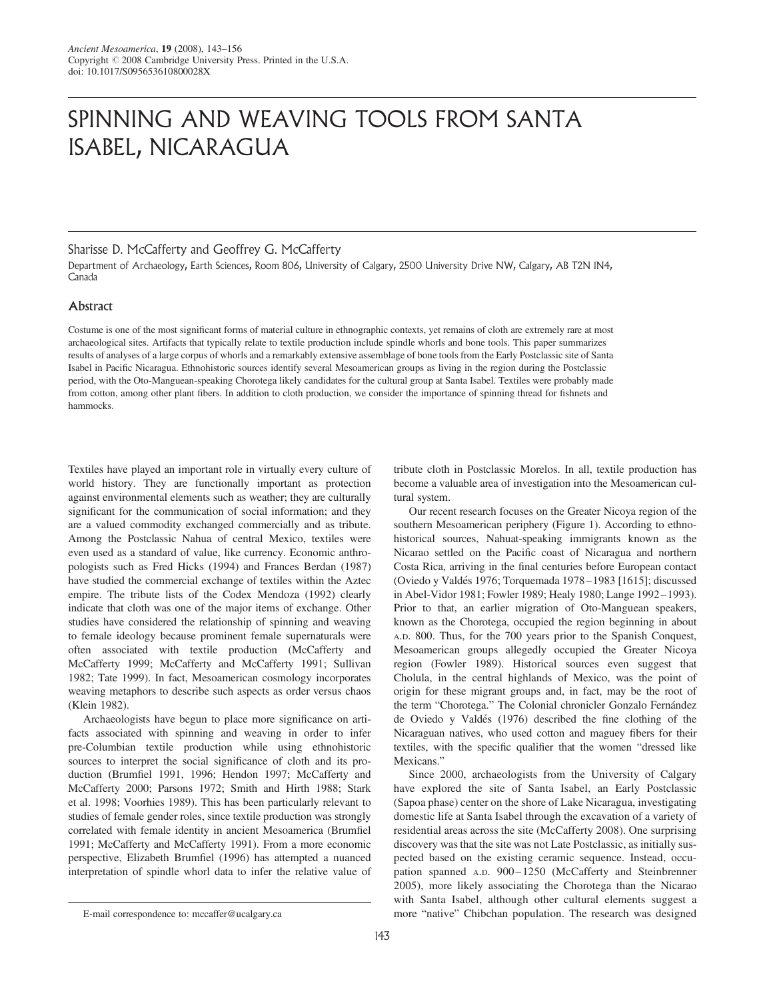# SPINNING AND WEAVING TOOLS FROM SANTA ISABEL, NICARAGUA

# Sharisse D. McCafferty and Geoffrey G. McCafferty

Department of Archaeology, Earth Sciences, Room 806, University of Calgary, 2500 University Drive NW, Calgary, AB T2N 1N4, Canada

# **Abstract**

Costume is one of the most significant forms of material culture in ethnographic contexts, yet remains of cloth are extremely rare at most archaeological sites. Artifacts that typically relate to textile production include spindle whorls and bone tools. This paper summarizes results of analyses of a large corpus of whorls and a remarkably extensive assemblage of bone tools from the Early Postclassic site of Santa Isabel in Pacific Nicaragua. Ethnohistoric sources identify several Mesoamerican groups as living in the region during the Postclassic period, with the Oto-Manguean-speaking Chorotega likely candidates for the cultural group at Santa Isabel. Textiles were probably made from cotton, among other plant fibers. In addition to cloth production, we consider the importance of spinning thread for fishnets and hammocks.

Textiles have played an important role in virtually every culture of world history. They are functionally important as protection against environmental elements such as weather; they are culturally significant for the communication of social information; and they are a valued commodity exchanged commercially and as tribute. Among the Postclassic Nahua of central Mexico, textiles were even used as a standard of value, like currency. Economic anthropologists such as Fred Hicks (1994) and Frances Berdan (1987) have studied the commercial exchange of textiles within the Aztec empire. The tribute lists of the Codex Mendoza (1992) clearly indicate that cloth was one of the major items of exchange. Other studies have considered the relationship of spinning and weaving to female ideology because prominent female supernaturals were often associated with textile production (McCafferty and McCafferty 1999; McCafferty and McCafferty 1991; Sullivan 1982; Tate 1999). In fact, Mesoamerican cosmology incorporates weaving metaphors to describe such aspects as order versus chaos (Klein 1982).

Archaeologists have begun to place more significance on artifacts associated with spinning and weaving in order to infer pre-Columbian textile production while using ethnohistoric sources to interpret the social significance of cloth and its production (Brumfiel 1991, 1996; Hendon 1997; McCafferty and McCafferty 2000; Parsons 1972; Smith and Hirth 1988; Stark et al. 1998; Voorhies 1989). This has been particularly relevant to studies of female gender roles, since textile production was strongly correlated with female identity in ancient Mesoamerica (Brumfiel 1991; McCafferty and McCafferty 1991). From a more economic perspective, Elizabeth Brumfiel (1996) has attempted a nuanced interpretation of spindle whorl data to infer the relative value of

tribute cloth in Postclassic Morelos. In all, textile production has become a valuable area of investigation into the Mesoamerican cultural system.

Our recent research focuses on the Greater Nicoya region of the southern Mesoamerican periphery (Figure 1). According to ethnohistorical sources, Nahuat-speaking immigrants known as the Nicarao settled on the Pacific coast of Nicaragua and northern Costa Rica, arriving in the final centuries before European contact (Oviedo y Valdés 1976; Torquemada 1978-1983 [1615]; discussed in Abel-Vidor 1981; Fowler 1989; Healy 1980; Lange 1992– 1993). Prior to that, an earlier migration of Oto-Manguean speakers, known as the Chorotega, occupied the region beginning in about A.D. 800. Thus, for the 700 years prior to the Spanish Conquest, Mesoamerican groups allegedly occupied the Greater Nicoya region (Fowler 1989). Historical sources even suggest that Cholula, in the central highlands of Mexico, was the point of origin for these migrant groups and, in fact, may be the root of the term "Chorotega." The Colonial chronicler Gonzalo Fernández de Oviedo y Valdés (1976) described the fine clothing of the Nicaraguan natives, who used cotton and maguey fibers for their textiles, with the specific qualifier that the women "dressed like Mexicans."

Since 2000, archaeologists from the University of Calgary have explored the site of Santa Isabel, an Early Postclassic (Sapoa phase) center on the shore of Lake Nicaragua, investigating domestic life at Santa Isabel through the excavation of a variety of residential areas across the site (McCafferty 2008). One surprising discovery was that the site was not Late Postclassic, as initially suspected based on the existing ceramic sequence. Instead, occupation spanned A.D. 900-1250 (McCafferty and Steinbrenner 2005), more likely associating the Chorotega than the Nicarao with Santa Isabel, although other cultural elements suggest a more "native" Chibchan population. The research was designed

E-mail correspondence to: mccaffer@ucalgary.ca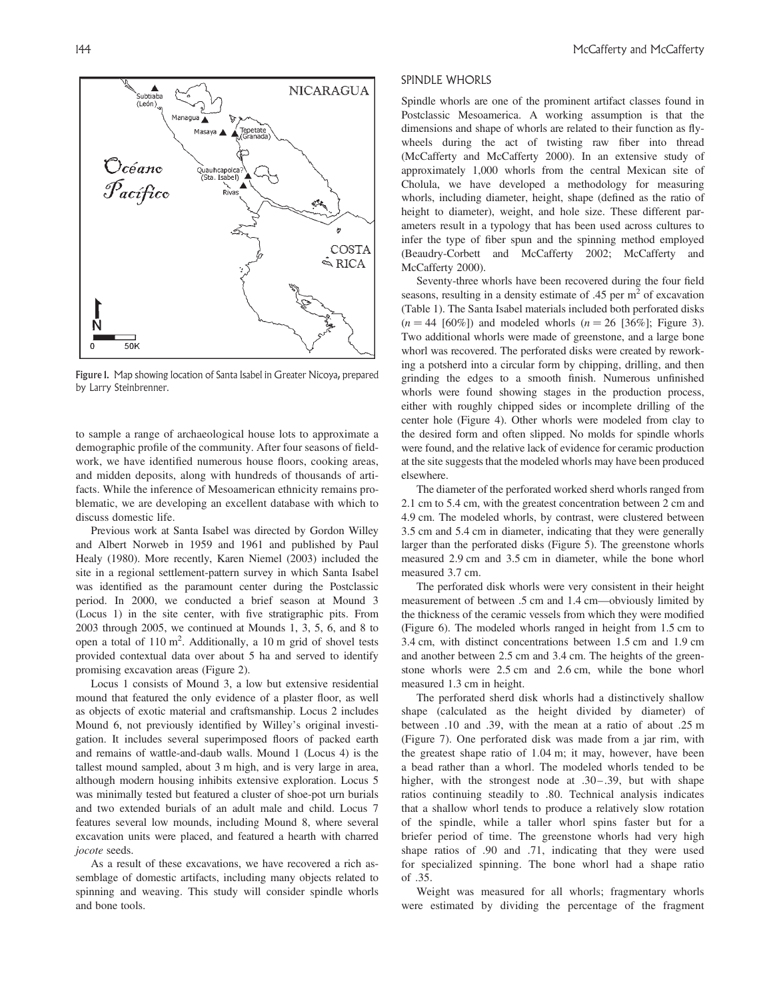

Figure 1. Map showing location of Santa Isabel in Greater Nicoya, prepared by Larry Steinbrenner.

to sample a range of archaeological house lots to approximate a demographic profile of the community. After four seasons of fieldwork, we have identified numerous house floors, cooking areas, and midden deposits, along with hundreds of thousands of artifacts. While the inference of Mesoamerican ethnicity remains problematic, we are developing an excellent database with which to discuss domestic life.

Previous work at Santa Isabel was directed by Gordon Willey and Albert Norweb in 1959 and 1961 and published by Paul Healy (1980). More recently, Karen Niemel (2003) included the site in a regional settlement-pattern survey in which Santa Isabel was identified as the paramount center during the Postclassic period. In 2000, we conducted a brief season at Mound 3 (Locus 1) in the site center, with five stratigraphic pits. From 2003 through 2005, we continued at Mounds 1, 3, 5, 6, and 8 to open a total of 110 m<sup>2</sup>. Additionally, a 10 m grid of shovel tests provided contextual data over about 5 ha and served to identify promising excavation areas (Figure 2).

Locus 1 consists of Mound 3, a low but extensive residential mound that featured the only evidence of a plaster floor, as well as objects of exotic material and craftsmanship. Locus 2 includes Mound 6, not previously identified by Willey's original investigation. It includes several superimposed floors of packed earth and remains of wattle-and-daub walls. Mound 1 (Locus 4) is the tallest mound sampled, about 3 m high, and is very large in area, although modern housing inhibits extensive exploration. Locus 5 was minimally tested but featured a cluster of shoe-pot urn burials and two extended burials of an adult male and child. Locus 7 features several low mounds, including Mound 8, where several excavation units were placed, and featured a hearth with charred jocote seeds.

As a result of these excavations, we have recovered a rich assemblage of domestic artifacts, including many objects related to spinning and weaving. This study will consider spindle whorls and bone tools.

## SPINDLE WHORLS

Spindle whorls are one of the prominent artifact classes found in Postclassic Mesoamerica. A working assumption is that the dimensions and shape of whorls are related to their function as flywheels during the act of twisting raw fiber into thread (McCafferty and McCafferty 2000). In an extensive study of approximately 1,000 whorls from the central Mexican site of Cholula, we have developed a methodology for measuring whorls, including diameter, height, shape (defined as the ratio of height to diameter), weight, and hole size. These different parameters result in a typology that has been used across cultures to infer the type of fiber spun and the spinning method employed (Beaudry-Corbett and McCafferty 2002; McCafferty and McCafferty 2000).

Seventy-three whorls have been recovered during the four field seasons, resulting in a density estimate of .45 per  $m<sup>2</sup>$  of excavation (Table 1). The Santa Isabel materials included both perforated disks  $(n = 44 \; [60\%])$  and modeled whorls  $(n = 26 \; [36\%])$ ; Figure 3). Two additional whorls were made of greenstone, and a large bone whorl was recovered. The perforated disks were created by reworking a potsherd into a circular form by chipping, drilling, and then grinding the edges to a smooth finish. Numerous unfinished whorls were found showing stages in the production process, either with roughly chipped sides or incomplete drilling of the center hole (Figure 4). Other whorls were modeled from clay to the desired form and often slipped. No molds for spindle whorls were found, and the relative lack of evidence for ceramic production at the site suggests that the modeled whorls may have been produced elsewhere.

The diameter of the perforated worked sherd whorls ranged from 2.1 cm to 5.4 cm, with the greatest concentration between 2 cm and 4.9 cm. The modeled whorls, by contrast, were clustered between 3.5 cm and 5.4 cm in diameter, indicating that they were generally larger than the perforated disks (Figure 5). The greenstone whorls measured 2.9 cm and 3.5 cm in diameter, while the bone whorl measured 3.7 cm.

The perforated disk whorls were very consistent in their height measurement of between .5 cm and 1.4 cm—obviously limited by the thickness of the ceramic vessels from which they were modified (Figure 6). The modeled whorls ranged in height from 1.5 cm to 3.4 cm, with distinct concentrations between 1.5 cm and 1.9 cm and another between 2.5 cm and 3.4 cm. The heights of the greenstone whorls were 2.5 cm and 2.6 cm, while the bone whorl measured 1.3 cm in height.

The perforated sherd disk whorls had a distinctively shallow shape (calculated as the height divided by diameter) of between .10 and .39, with the mean at a ratio of about .25 m (Figure 7). One perforated disk was made from a jar rim, with the greatest shape ratio of 1.04 m; it may, however, have been a bead rather than a whorl. The modeled whorls tended to be higher, with the strongest node at .30–.39, but with shape ratios continuing steadily to .80. Technical analysis indicates that a shallow whorl tends to produce a relatively slow rotation of the spindle, while a taller whorl spins faster but for a briefer period of time. The greenstone whorls had very high shape ratios of .90 and .71, indicating that they were used for specialized spinning. The bone whorl had a shape ratio of .35.

Weight was measured for all whorls; fragmentary whorls were estimated by dividing the percentage of the fragment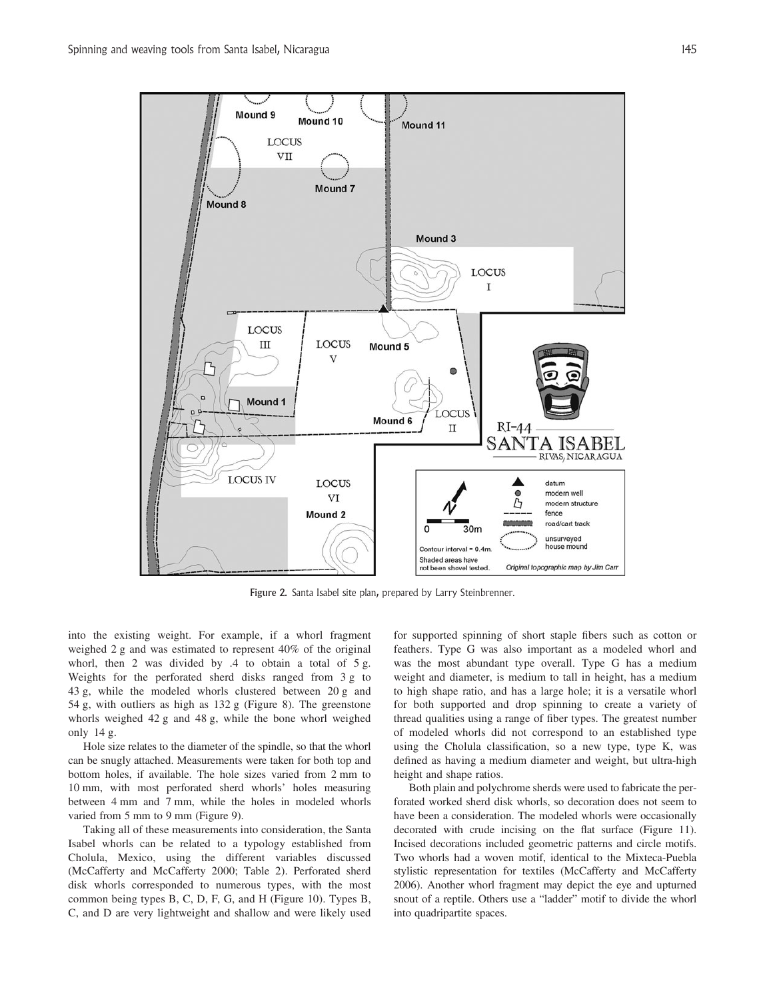

Figure 2. Santa Isabel site plan, prepared by Larry Steinbrenner.

into the existing weight. For example, if a whorl fragment weighed 2 g and was estimated to represent 40% of the original whorl, then 2 was divided by .4 to obtain a total of 5 g. Weights for the perforated sherd disks ranged from 3 g to 43 g, while the modeled whorls clustered between 20 g and 54 g, with outliers as high as 132 g (Figure 8). The greenstone whorls weighed 42 g and 48 g, while the bone whorl weighed only 14 g.

Hole size relates to the diameter of the spindle, so that the whorl can be snugly attached. Measurements were taken for both top and bottom holes, if available. The hole sizes varied from 2 mm to 10 mm, with most perforated sherd whorls' holes measuring between 4 mm and 7 mm, while the holes in modeled whorls varied from 5 mm to 9 mm (Figure 9).

Taking all of these measurements into consideration, the Santa Isabel whorls can be related to a typology established from Cholula, Mexico, using the different variables discussed (McCafferty and McCafferty 2000; Table 2). Perforated sherd disk whorls corresponded to numerous types, with the most common being types B, C, D, F, G, and H (Figure 10). Types B, C, and D are very lightweight and shallow and were likely used

for supported spinning of short staple fibers such as cotton or feathers. Type G was also important as a modeled whorl and was the most abundant type overall. Type G has a medium weight and diameter, is medium to tall in height, has a medium to high shape ratio, and has a large hole; it is a versatile whorl for both supported and drop spinning to create a variety of thread qualities using a range of fiber types. The greatest number of modeled whorls did not correspond to an established type using the Cholula classification, so a new type, type K, was defined as having a medium diameter and weight, but ultra-high height and shape ratios.

Both plain and polychrome sherds were used to fabricate the perforated worked sherd disk whorls, so decoration does not seem to have been a consideration. The modeled whorls were occasionally decorated with crude incising on the flat surface (Figure 11). Incised decorations included geometric patterns and circle motifs. Two whorls had a woven motif, identical to the Mixteca-Puebla stylistic representation for textiles (McCafferty and McCafferty 2006). Another whorl fragment may depict the eye and upturned snout of a reptile. Others use a "ladder" motif to divide the whorl into quadripartite spaces.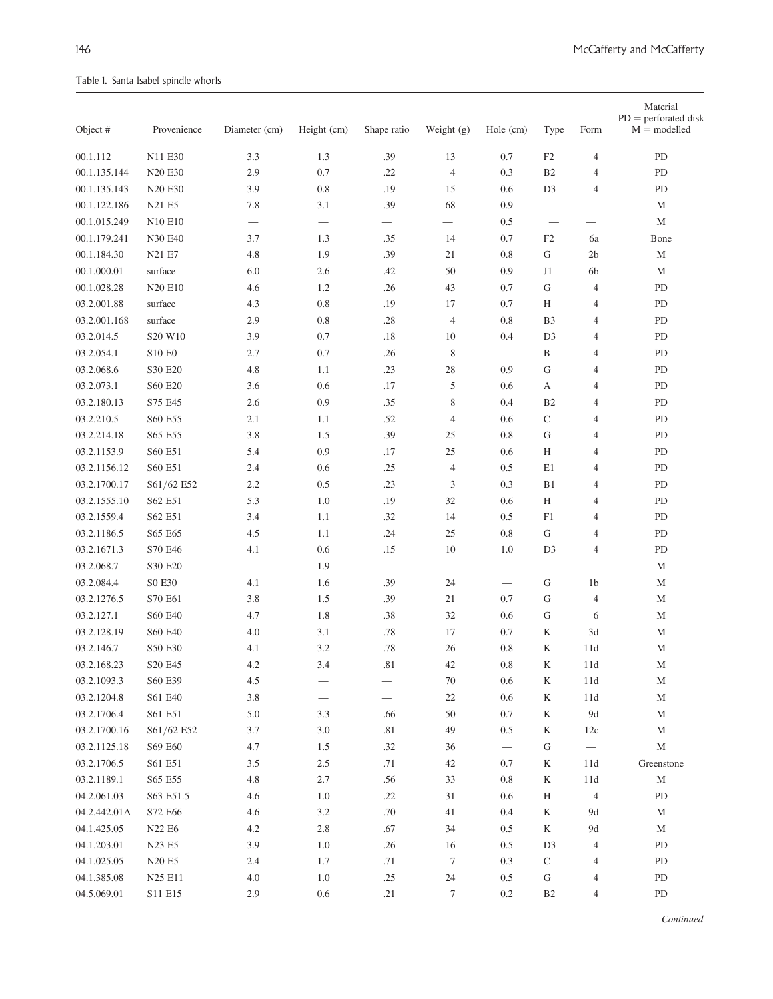$\equiv$ 

Table 1. Santa Isabel spindle whorls

| Object #     | Provenience                     | Diameter (cm) | Height (cm)       | Shape ratio              | Weight $(g)$   | Hole (cm)                | Type                           | Form                     | Material<br>$PD =$ perforated disk<br>$M =$ modelled |
|--------------|---------------------------------|---------------|-------------------|--------------------------|----------------|--------------------------|--------------------------------|--------------------------|------------------------------------------------------|
| 00.1.112     | N11 E30                         | 3.3           | 1.3               | .39                      | 13             | 0.7                      | F2                             | $\overline{4}$           | PD                                                   |
| 00.1.135.144 | <b>N20 E30</b>                  | 2.9           | 0.7               | .22                      | $\overline{4}$ | 0.3                      | B <sub>2</sub>                 | 4                        | PD                                                   |
| 00.1.135.143 | N <sub>20</sub> E <sub>30</sub> | 3.9           | 0.8               | .19                      | 15             | 0.6                      | D <sub>3</sub>                 | $\overline{4}$           | PD                                                   |
| 00.1.122.186 | N21 E5                          | 7.8           | 3.1               | .39                      | 68             | 0.9                      | $\qquad \qquad$                |                          | М                                                    |
| 00.1.015.249 | N10 E10                         |               | $\hspace{0.05cm}$ | $\overline{\phantom{0}}$ |                | 0.5                      | $\overbrace{\phantom{123221}}$ | $\overline{\phantom{0}}$ | $\mathbf M$                                          |
| 00.1.179.241 | N30 E40                         | 3.7           | 1.3               | .35                      | 14             | 0.7                      | F <sub>2</sub>                 | 6a                       | Bone                                                 |
| 00.1.184.30  | N21 E7                          | 4.8           | 1.9               | .39                      | 21             | 0.8                      | G                              | 2 <sub>b</sub>           | $\mathbf M$                                          |
| 00.1.000.01  | surface                         | 6.0           | 2.6               | .42                      | 50             | 0.9                      | J1                             | 6b                       | $\mathbf M$                                          |
| 00.1.028.28  | <b>N20 E10</b>                  | 4.6           | 1.2               | .26                      | 43             | 0.7                      | G                              | $\overline{4}$           | PD                                                   |
| 03.2.001.88  | surface                         | 4.3           | 0.8               | .19                      | 17             | 0.7                      | H                              | 4                        | ${\rm PD}$                                           |
| 03.2.001.168 | surface                         | 2.9           | 0.8               | .28                      | $\overline{4}$ | 0.8                      | B <sub>3</sub>                 | 4                        | PD                                                   |
| 03.2.014.5   | S20 W10                         | 3.9           | 0.7               | .18                      | 10             | 0.4                      | D <sub>3</sub>                 | 4                        | PD                                                   |
| 03.2.054.1   | <b>S10 E0</b>                   | 2.7           | 0.7               | .26                      | 8              | $\overline{\phantom{m}}$ | B                              | 4                        | ${\rm PD}$                                           |
| 03.2.068.6   | S30 E20                         | 4.8           | 1.1               | .23                      | $28\,$         | 0.9                      | G                              | 4                        | PD                                                   |
| 03.2.073.1   | S60 E20                         | 3.6           | 0.6               | .17                      | 5              | 0.6                      | А                              | 4                        | PD                                                   |
| 03.2.180.13  | S75 E45                         | 2.6           | 0.9               | .35                      | 8              | 0.4                      | B <sub>2</sub>                 | 4                        | ${\rm PD}$                                           |
| 03.2.210.5   | S60 E55                         | 2.1           | 1.1               | .52                      | $\overline{4}$ | 0.6                      | $\mathsf{C}$                   | 4                        | PD                                                   |
| 03.2.214.18  | S65 E55                         | 3.8           | 1.5               | .39                      | 25             | 0.8                      | G                              | 4                        | PD                                                   |
| 03.2.1153.9  | S60 E51                         | 5.4           | 0.9               | .17                      | 25             | 0.6                      | Η                              | 4                        | ${\rm PD}$                                           |
| 03.2.1156.12 | S60 E51                         | 2.4           | 0.6               | .25                      | $\overline{4}$ | 0.5                      | E1                             | 4                        | ${\rm PD}$                                           |
| 03.2.1700.17 | S61/62 E52                      | 2.2           | 0.5               | .23                      | 3              | 0.3                      | B1                             | 4                        | PD                                                   |
| 03.2.1555.10 | S62 E51                         | 5.3           | 1.0               | .19                      | 32             | 0.6                      | H                              | 4                        | ${\rm PD}$                                           |
| 03.2.1559.4  | S62 E51                         | 3.4           | 1.1               | .32                      | 14             | 0.5                      | F1                             | 4                        | PD                                                   |
| 03.2.1186.5  | S65 E65                         | 4.5           | 1.1               | .24                      | 25             | 0.8                      | ${\rm G}$                      | 4                        | PD                                                   |
| 03.2.1671.3  | S70 E46                         | 4.1           | 0.6               | .15                      | 10             | 1.0                      | D <sub>3</sub>                 | $\overline{4}$           | ${\rm PD}$                                           |
| 03.2.068.7   | S30 E20                         |               | 1.9               | $\overline{\phantom{0}}$ |                |                          |                                | $\overline{\phantom{0}}$ | $\mathbf M$                                          |
| 03.2.084.4   | S0 E30                          | 4.1           | 1.6               | .39                      | 24             | $\overline{\phantom{m}}$ | G                              | 1 <sub>b</sub>           | М                                                    |
| 03.2.1276.5  | S70 E61                         | 3.8           | 1.5               | .39                      | 21             | 0.7                      | G                              | $\overline{4}$           | $\mathbf M$                                          |
| 03.2.127.1   | S60 E40                         | 4.7           | 1.8               | .38                      | 32             | 0.6                      | G                              | 6                        | $\mathbf M$                                          |
| 03.2.128.19  | S60 E40                         | 4.0           | 3.1               | .78                      | 17             | 0.7                      | K                              | 3d                       | M                                                    |
| 03.2.146.7   | S50 E30                         | 4.1           | 3.2               | .78                      | 26             | 0.8                      | $\rm K$                        | 11d                      | $\mathbf M$                                          |
| 03.2.168.23  | S20 E45                         | 4.2           | 3.4               | .81                      | $42\,$         | $0.8\,$                  | K                              | 11d                      | M                                                    |
| 03.2.1093.3  | S60 E39                         | 4.5           |                   |                          | 70             | 0.6                      | K                              | 11d                      | М                                                    |
| 03.2.1204.8  | S61 E40                         | 3.8           |                   |                          | $22\,$         | 0.6                      | K                              | 11d                      | $\mathbf M$                                          |
| 03.2.1706.4  | S61 E51                         | 5.0           | 3.3               | .66                      | $50\,$         | 0.7                      | $\rm K$                        | 9d                       | $\mathbf M$                                          |
| 03.2.1700.16 | S61/62 E52                      | 3.7           | $3.0\,$           | .81                      | 49             | 0.5                      | K                              | 12c                      | $\mathbf M$                                          |
| 03.2.1125.18 | S69 E60                         | 4.7           | 1.5               | .32                      | 36             | $\overline{\phantom{0}}$ | G                              | $\overline{\phantom{m}}$ | $\mathbf M$                                          |
| 03.2.1706.5  | S61 E51                         | $3.5$         | 2.5               | .71                      | 42             | 0.7                      | K                              | 11d                      | Greenstone                                           |
| 03.2.1189.1  | S65 E55                         | 4.8           | 2.7               | .56                      | 33             | 0.8                      | K                              | 11d                      | $\mathbf M$                                          |
| 04.2.061.03  | S63 E51.5                       | 4.6           | 1.0               | .22                      | 31             | 0.6                      | H                              | $\overline{4}$           | ${\rm PD}$                                           |
| 04.2.442.01A | S72 E66                         | 4.6           | 3.2               | .70                      | 41             | 0.4                      | $\rm K$                        | $9d$                     | $\mathbf M$                                          |
| 04.1.425.05  | N22 E6                          | 4.2           | 2.8               | .67                      | 34             | 0.5                      | K                              | 9d                       | $\mathbf M$                                          |
| 04.1.203.01  | N23 E5                          | 3.9           | 1.0               | .26                      | 16             | 0.5                      | D <sub>3</sub>                 | $\overline{4}$           | PD                                                   |
| 04.1.025.05  | N20 E5                          | 2.4           | 1.7               | .71                      | $\tau$         | 0.3                      | $\mathbf C$                    | 4                        | ${\rm PD}$                                           |
| 04.1.385.08  | N25 E11                         | 4.0           | $1.0\,$           | .25                      | 24             | 0.5                      | ${\bf G}$                      | 4                        | PD                                                   |
| 04.5.069.01  | S11 E15                         | 2.9           | 0.6               | .21                      | 7              | $0.2\,$                  | B <sub>2</sub>                 | 4                        | ${\rm PD}$                                           |

**Continued**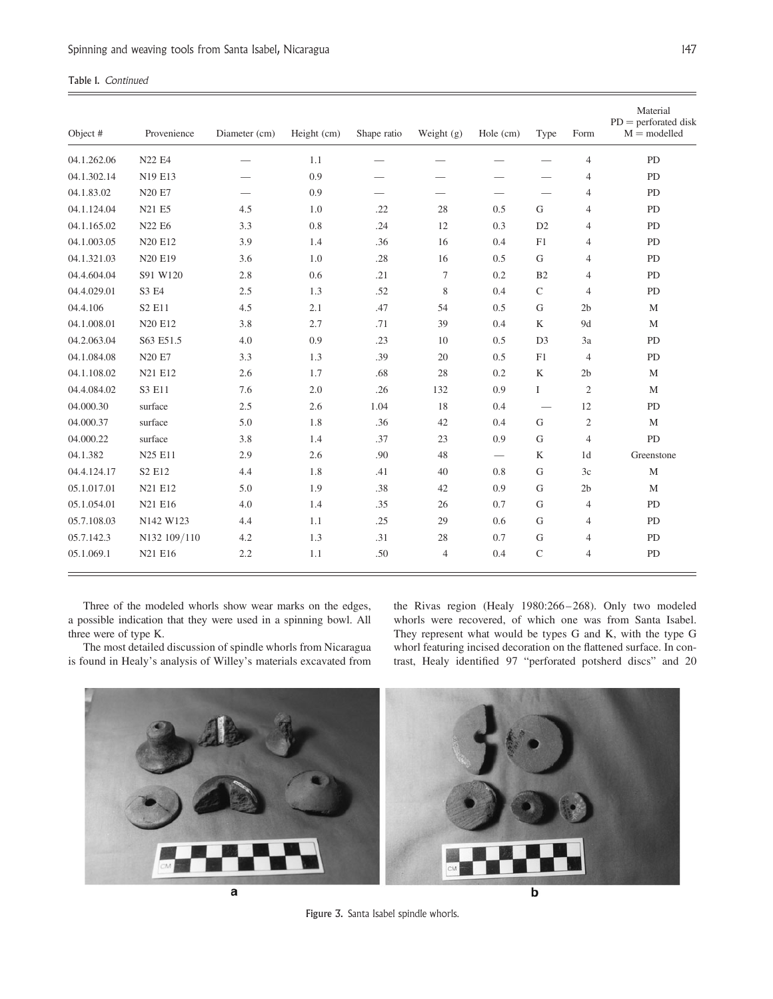|  | Table 1. Continued |
|--|--------------------|
|  |                    |

| Object #    | Provenience    | Diameter (cm) | Height (cm) | Shape ratio | Weight (g) | Hole (cm)                       | Type                            | Form           | Material<br>$PD =$ perforated disk<br>$M =$ modelled |
|-------------|----------------|---------------|-------------|-------------|------------|---------------------------------|---------------------------------|----------------|------------------------------------------------------|
| 04.1.262.06 | N22 E4         |               | 1.1         |             |            |                                 |                                 | $\overline{4}$ | PD                                                   |
| 04.1.302.14 | N19 E13        |               | 0.9         |             |            |                                 |                                 | 4              | PD                                                   |
| 04.1.83.02  | N20 E7         |               | 0.9         |             |            | $\hspace{0.1mm}-\hspace{0.1mm}$ | $\qquad \qquad$                 | $\overline{4}$ | PD                                                   |
| 04.1.124.04 | N21 E5         | 4.5           | 1.0         | .22         | 28         | 0.5                             | G                               | $\overline{4}$ | PD                                                   |
| 04.1.165.02 | N22 E6         | 3.3           | 0.8         | .24         | 12         | 0.3                             | D2                              | $\overline{4}$ | PD                                                   |
| 04.1.003.05 | N20 E12        | 3.9           | 1.4         | .36         | 16         | 0.4                             | F1                              | $\overline{4}$ | PD                                                   |
| 04.1.321.03 | <b>N20 E19</b> | 3.6           | 1.0         | .28         | 16         | 0.5                             | G                               | 4              | PD                                                   |
| 04.4.604.04 | S91 W120       | 2.8           | 0.6         | .21         | 7          | 0.2                             | B2                              | $\overline{4}$ | PD                                                   |
| 04.4.029.01 | S3 E4          | 2.5           | 1.3         | .52         | 8          | 0.4                             | $\mathsf C$                     | $\overline{4}$ | PD                                                   |
| 04.4.106    | S2 E11         | 4.5           | 2.1         | .47         | 54         | 0.5                             | ${\bf G}$                       | 2 <sub>b</sub> | $\mathbf M$                                          |
| 04.1.008.01 | N20 E12        | 3.8           | 2.7         | .71         | 39         | 0.4                             | K                               | 9d             | $\mathbf{M}$                                         |
| 04.2.063.04 | S63 E51.5      | 4.0           | 0.9         | .23         | 10         | 0.5                             | D <sub>3</sub>                  | 3a             | PD                                                   |
| 04.1.084.08 | <b>N20 E7</b>  | 3.3           | 1.3         | .39         | 20         | 0.5                             | F1                              | $\overline{4}$ | PD                                                   |
| 04.1.108.02 | N21 E12        | 2.6           | 1.7         | .68         | 28         | 0.2                             | $\rm K$                         | 2 <sub>b</sub> | $\mathbf M$                                          |
| 04.4.084.02 | S3 E11         | 7.6           | 2.0         | .26         | 132        | 0.9                             | I                               | $\overline{2}$ | $\mathbf{M}$                                         |
| 04.000.30   | surface        | 2.5           | 2.6         | 1.04        | 18         | 0.4                             | $\hspace{0.1mm}-\hspace{0.1mm}$ | 12             | PD                                                   |
| 04.000.37   | surface        | 5.0           | 1.8         | .36         | 42         | 0.4                             | G                               | $\mathfrak{2}$ | $\mathbf{M}$                                         |
| 04.000.22   | surface        | 3.8           | 1.4         | .37         | 23         | 0.9                             | G                               | $\overline{4}$ | PD                                                   |
| 04.1.382    | N25 E11        | 2.9           | 2.6         | .90         | 48         |                                 | $\rm K$                         | 1 <sub>d</sub> | Greenstone                                           |
| 04.4.124.17 | S2 E12         | 4.4           | 1.8         | .41         | 40         | 0.8                             | ${\bf G}$                       | 3c             | $\mathbf M$                                          |
| 05.1.017.01 | N21 E12        | 5.0           | 1.9         | .38         | 42         | 0.9                             | ${\bf G}$                       | 2 <sub>b</sub> | M                                                    |
| 05.1.054.01 | N21 E16        | 4.0           | 1.4         | .35         | 26         | 0.7                             | G                               | $\overline{4}$ | PD                                                   |
| 05.7.108.03 | N142 W123      | 4.4           | 1.1         | .25         | 29         | 0.6                             | G                               | $\overline{4}$ | PD                                                   |
| 05.7.142.3  | N132 109/110   | 4.2           | 1.3         | .31         | 28         | 0.7                             | ${\bf G}$                       | $\overline{4}$ | PD                                                   |
| 05.1.069.1  | N21 E16        | 2.2           | 1.1         | .50         | 4          | 0.4                             | $\mathsf{C}$                    | $\overline{4}$ | PD                                                   |

Three of the modeled whorls show wear marks on the edges, a possible indication that they were used in a spinning bowl. All three were of type K.

The most detailed discussion of spindle whorls from Nicaragua is found in Healy's analysis of Willey's materials excavated from

the Rivas region (Healy 1980:266-268). Only two modeled whorls were recovered, of which one was from Santa Isabel. They represent what would be types G and K, with the type G whorl featuring incised decoration on the flattened surface. In contrast, Healy identified 97 "perforated potsherd discs" and 20



Figure 3. Santa Isabel spindle whorls.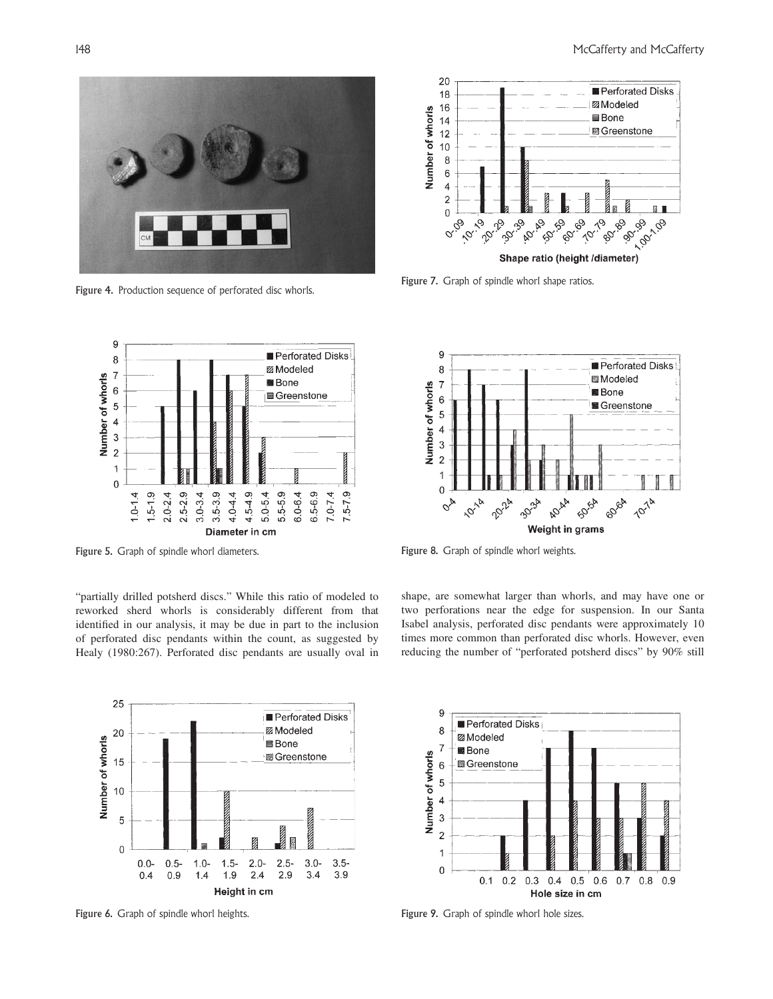

Figure 4. Production sequence of perforated disc whorls.



"partially drilled potsherd discs." While this ratio of modeled to reworked sherd whorls is considerably different from that identified in our analysis, it may be due in part to the inclusion of perforated disc pendants within the count, as suggested by Healy (1980:267). Perforated disc pendants are usually oval in



Figure 6. Graph of spindle whorl heights. Figure 9. Graph of spindle whorl hole sizes.



Figure 7. Graph of spindle whorl shape ratios.



Figure 5. Graph of spindle whorl diameters. Figure 8. Graph of spindle whorl weights.

shape, are somewhat larger than whorls, and may have one or two perforations near the edge for suspension. In our Santa Isabel analysis, perforated disc pendants were approximately 10 times more common than perforated disc whorls. However, even reducing the number of "perforated potsherd discs" by 90% still

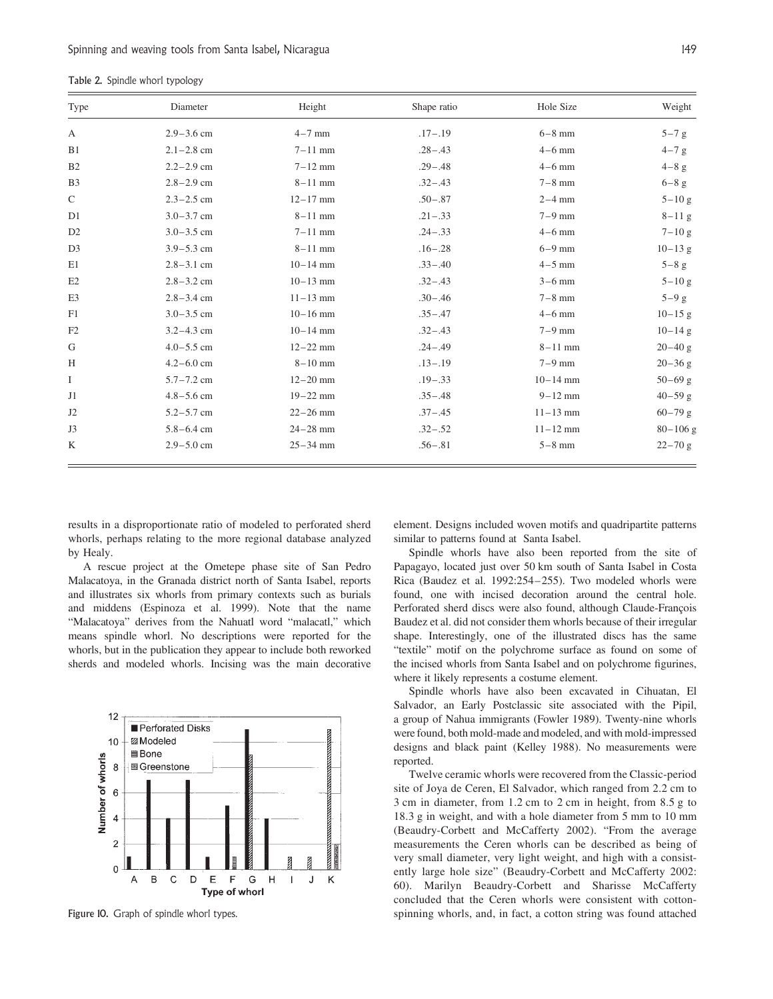| Table 2. Spindle whorl typology |
|---------------------------------|
|---------------------------------|

| Type           | Diameter       | Height       | Shape ratio | Hole Size    | Weight       |
|----------------|----------------|--------------|-------------|--------------|--------------|
| A              | $2.9 - 3.6$ cm | $4-7$ mm     | $.17 - .19$ | $6-8$ mm     | $5-7$ g      |
| B1             | $2.1 - 2.8$ cm | $7 - 11$ mm  | $.28 - .43$ | $4-6$ mm     | $4-7 g$      |
| B <sub>2</sub> | $2.2 - 2.9$ cm | $7 - 12$ mm  | $.29 - .48$ | $4-6$ mm     | $4-8$ g      |
| B <sub>3</sub> | $2.8 - 2.9$ cm | $8-11$ mm    | $.32 - .43$ | $7-8$ mm     | $6-8$ g      |
| $\mathsf{C}$   | $2.3 - 2.5$ cm | $12 - 17$ mm | $.50 - .87$ | $2-4$ mm     | $5 - 10$ g   |
| D1             | $3.0 - 3.7$ cm | $8-11$ mm    | $.21 - .33$ | $7-9$ mm     | $8 - 11$ g   |
| D <sub>2</sub> | $3.0 - 3.5$ cm | $7-11$ mm    | $.24 - .33$ | $4-6$ mm     | $7 - 10g$    |
| D <sub>3</sub> | $3.9 - 5.3$ cm | $8-11$ mm    | $.16 - .28$ | $6-9$ mm     | $10 - 13$ g  |
| E1             | $2.8 - 3.1$ cm | $10 - 14$ mm | $.33 - .40$ | $4-5$ mm     | $5-8$ g      |
| E2             | $2.8 - 3.2$ cm | $10 - 13$ mm | $.32 - .43$ | $3-6$ mm     | $5 - 10 g$   |
| E3             | $2.8 - 3.4$ cm | $11 - 13$ mm | $.30 - .46$ | $7-8$ mm     | $5-9$ g      |
| F1             | $3.0 - 3.5$ cm | $10 - 16$ mm | $.35 - .47$ | $4-6$ mm     | $10 - 15$ g  |
| F2             | $3.2 - 4.3$ cm | $10 - 14$ mm | $.32 - .43$ | $7-9$ mm     | $10 - 14$ g  |
| G              | $4.0 - 5.5$ cm | $12 - 22$ mm | $.24 - .49$ | $8 - 11$ mm  | $20 - 40$ g  |
| H              | $4.2 - 6.0$ cm | $8-10$ mm    | $.13 - .19$ | $7-9$ mm     | $20 - 36$ g  |
| $\bf{I}$       | $5.7 - 7.2$ cm | $12 - 20$ mm | $.19 - .33$ | $10 - 14$ mm | $50 - 69$ g  |
| J1             | $4.8 - 5.6$ cm | $19 - 22$ mm | $.35 - .48$ | $9 - 12$ mm  | $40 - 59$ g  |
| J2             | $5.2 - 5.7$ cm | $22 - 26$ mm | $.37 - .45$ | $11 - 13$ mm | $60 - 79$ g  |
| J3             | $5.8 - 6.4$ cm | $24 - 28$ mm | $.32 - .52$ | $11 - 12$ mm | $80 - 106$ g |
| K              | $2.9 - 5.0$ cm | $25 - 34$ mm | $.56 - .81$ | $5-8$ mm     | $22 - 70$ g  |

results in a disproportionate ratio of modeled to perforated sherd whorls, perhaps relating to the more regional database analyzed by Healy.

A rescue project at the Ometepe phase site of San Pedro Malacatoya, in the Granada district north of Santa Isabel, reports and illustrates six whorls from primary contexts such as burials and middens (Espinoza et al. 1999). Note that the name "Malacatoya" derives from the Nahuatl word "malacatl," which means spindle whorl. No descriptions were reported for the whorls, but in the publication they appear to include both reworked sherds and modeled whorls. Incising was the main decorative



Figure 10. Graph of spindle whorl types.

element. Designs included woven motifs and quadripartite patterns similar to patterns found at Santa Isabel.

Spindle whorls have also been reported from the site of Papagayo, located just over 50 km south of Santa Isabel in Costa Rica (Baudez et al. 1992:254–255). Two modeled whorls were found, one with incised decoration around the central hole. Perforated sherd discs were also found, although Claude-François Baudez et al. did not consider them whorls because of their irregular shape. Interestingly, one of the illustrated discs has the same "textile" motif on the polychrome surface as found on some of the incised whorls from Santa Isabel and on polychrome figurines, where it likely represents a costume element.

Spindle whorls have also been excavated in Cihuatan, El Salvador, an Early Postclassic site associated with the Pipil, a group of Nahua immigrants (Fowler 1989). Twenty-nine whorls were found, both mold-made and modeled, and with mold-impressed designs and black paint (Kelley 1988). No measurements were reported.

Twelve ceramic whorls were recovered from the Classic-period site of Joya de Ceren, El Salvador, which ranged from 2.2 cm to 3 cm in diameter, from 1.2 cm to 2 cm in height, from 8.5 g to 18.3 g in weight, and with a hole diameter from 5 mm to 10 mm (Beaudry-Corbett and McCafferty 2002). "From the average measurements the Ceren whorls can be described as being of very small diameter, very light weight, and high with a consistently large hole size" (Beaudry-Corbett and McCafferty 2002: 60). Marilyn Beaudry-Corbett and Sharisse McCafferty concluded that the Ceren whorls were consistent with cottonspinning whorls, and, in fact, a cotton string was found attached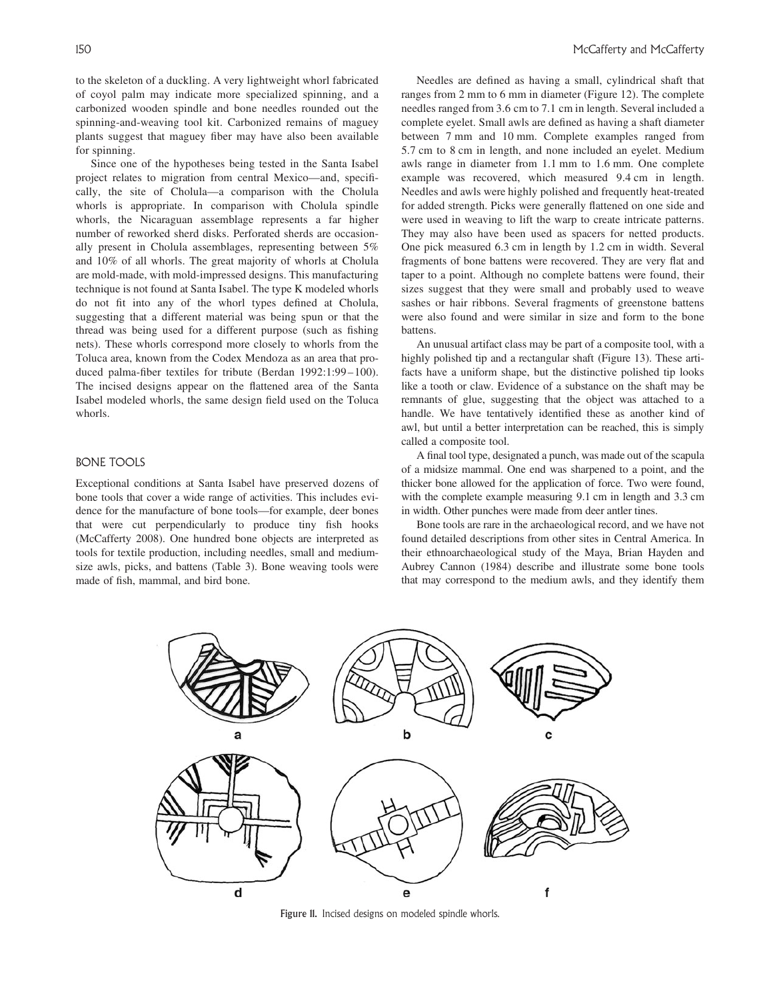to the skeleton of a duckling. A very lightweight whorl fabricated of coyol palm may indicate more specialized spinning, and a carbonized wooden spindle and bone needles rounded out the spinning-and-weaving tool kit. Carbonized remains of maguey plants suggest that maguey fiber may have also been available for spinning.

Since one of the hypotheses being tested in the Santa Isabel project relates to migration from central Mexico—and, specifically, the site of Cholula—a comparison with the Cholula whorls is appropriate. In comparison with Cholula spindle whorls, the Nicaraguan assemblage represents a far higher number of reworked sherd disks. Perforated sherds are occasionally present in Cholula assemblages, representing between 5% and 10% of all whorls. The great majority of whorls at Cholula are mold-made, with mold-impressed designs. This manufacturing technique is not found at Santa Isabel. The type K modeled whorls do not fit into any of the whorl types defined at Cholula, suggesting that a different material was being spun or that the thread was being used for a different purpose (such as fishing nets). These whorls correspond more closely to whorls from the Toluca area, known from the Codex Mendoza as an area that produced palma-fiber textiles for tribute (Berdan 1992:1:99-100). The incised designs appear on the flattened area of the Santa Isabel modeled whorls, the same design field used on the Toluca whorls.

## BONE TOOLS

Exceptional conditions at Santa Isabel have preserved dozens of bone tools that cover a wide range of activities. This includes evidence for the manufacture of bone tools—for example, deer bones that were cut perpendicularly to produce tiny fish hooks (McCafferty 2008). One hundred bone objects are interpreted as tools for textile production, including needles, small and mediumsize awls, picks, and battens (Table 3). Bone weaving tools were made of fish, mammal, and bird bone.

Needles are defined as having a small, cylindrical shaft that ranges from 2 mm to 6 mm in diameter (Figure 12). The complete needles ranged from 3.6 cm to 7.1 cm in length. Several included a complete eyelet. Small awls are defined as having a shaft diameter between 7 mm and 10 mm. Complete examples ranged from 5.7 cm to 8 cm in length, and none included an eyelet. Medium awls range in diameter from 1.1 mm to 1.6 mm. One complete example was recovered, which measured 9.4 cm in length. Needles and awls were highly polished and frequently heat-treated for added strength. Picks were generally flattened on one side and were used in weaving to lift the warp to create intricate patterns. They may also have been used as spacers for netted products. One pick measured 6.3 cm in length by 1.2 cm in width. Several fragments of bone battens were recovered. They are very flat and taper to a point. Although no complete battens were found, their sizes suggest that they were small and probably used to weave sashes or hair ribbons. Several fragments of greenstone battens were also found and were similar in size and form to the bone battens.

An unusual artifact class may be part of a composite tool, with a highly polished tip and a rectangular shaft (Figure 13). These artifacts have a uniform shape, but the distinctive polished tip looks like a tooth or claw. Evidence of a substance on the shaft may be remnants of glue, suggesting that the object was attached to a handle. We have tentatively identified these as another kind of awl, but until a better interpretation can be reached, this is simply called a composite tool.

A final tool type, designated a punch, was made out of the scapula of a midsize mammal. One end was sharpened to a point, and the thicker bone allowed for the application of force. Two were found, with the complete example measuring 9.1 cm in length and 3.3 cm in width. Other punches were made from deer antler tines.

Bone tools are rare in the archaeological record, and we have not found detailed descriptions from other sites in Central America. In their ethnoarchaeological study of the Maya, Brian Hayden and Aubrey Cannon (1984) describe and illustrate some bone tools that may correspond to the medium awls, and they identify them



Figure 11. Incised designs on modeled spindle whorls.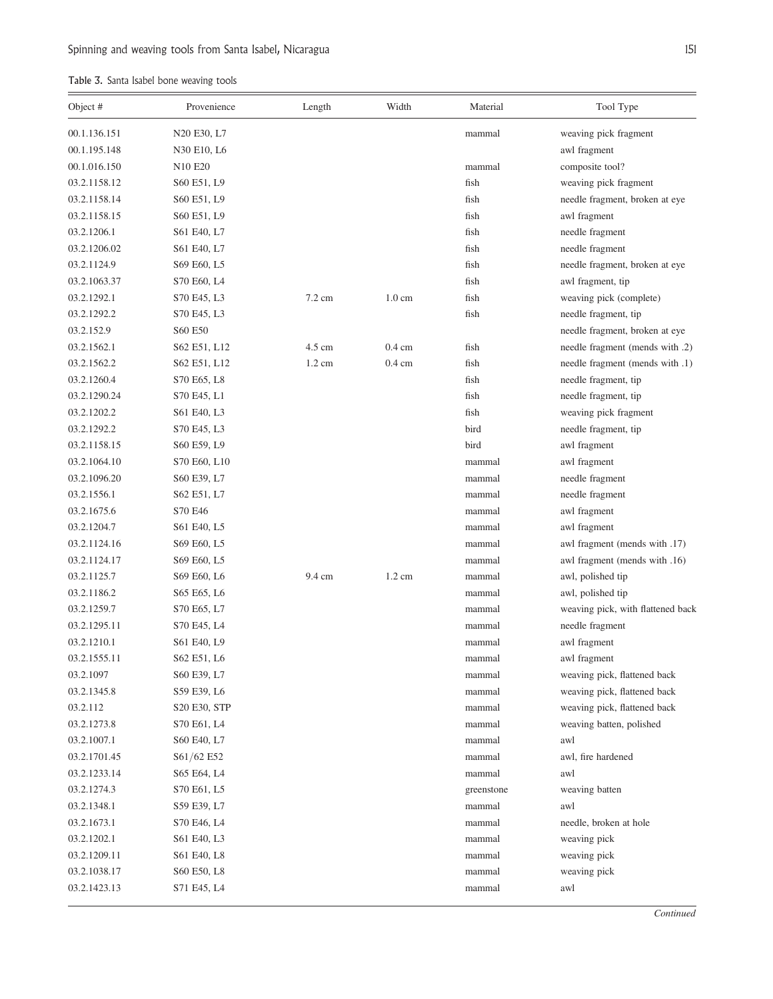# Table 3. Santa Isabel bone weaving tools

| Object #     | Provenience                                       | Length           | Width            | Material   | Tool Type                         |
|--------------|---------------------------------------------------|------------------|------------------|------------|-----------------------------------|
| 00.1.136.151 | N20 E30, L7                                       |                  |                  | mammal     | weaving pick fragment             |
| 00.1.195.148 | N30 E10, L6                                       |                  |                  |            | awl fragment                      |
| 00.1.016.150 | N <sub>10</sub> E <sub>20</sub>                   |                  |                  | mammal     | composite tool?                   |
| 03.2.1158.12 | S60 E51, L9                                       |                  |                  | fish       | weaving pick fragment             |
| 03.2.1158.14 | S60 E51, L9                                       |                  |                  | fish       | needle fragment, broken at eye    |
| 03.2.1158.15 | S60 E51, L9                                       |                  |                  | fish       | awl fragment                      |
| 03.2.1206.1  | S61 E40, L7                                       |                  |                  | fish       | needle fragment                   |
| 03.2.1206.02 | S61 E40, L7                                       |                  |                  | fish       | needle fragment                   |
| 03.2.1124.9  | S69 E60, L5                                       |                  |                  | fish       | needle fragment, broken at eye    |
| 03.2.1063.37 | S70 E60, L4                                       |                  |                  | fish       | awl fragment, tip                 |
| 03.2.1292.1  | S70 E45, L3                                       | $7.2 \text{ cm}$ | $1.0 \text{ cm}$ | fish       | weaving pick (complete)           |
| 03.2.1292.2  | S70 E45, L3                                       |                  |                  | fish       | needle fragment, tip              |
| 03.2.152.9   | S60 E50                                           |                  |                  |            | needle fragment, broken at eye    |
| 03.2.1562.1  | S62 E51, L12                                      | 4.5 cm           | $0.4 \text{ cm}$ | fish       | needle fragment (mends with .2)   |
| 03.2.1562.2  | S62 E51, L12                                      | $1.2 \text{ cm}$ | $0.4 \text{ cm}$ | fish       | needle fragment (mends with .1)   |
| 03.2.1260.4  | S70 E65, L8                                       |                  |                  | fish       | needle fragment, tip              |
| 03.2.1290.24 | S70 E45, L1                                       |                  |                  | fish       | needle fragment, tip              |
| 03.2.1202.2  | S61 E40, L3                                       |                  |                  | fish       | weaving pick fragment             |
| 03.2.1292.2  | S70 E45, L3                                       |                  |                  | bird       | needle fragment, tip              |
| 03.2.1158.15 | S60 E59, L9                                       |                  |                  | bird       | awl fragment                      |
| 03.2.1064.10 | S70 E60, L10                                      |                  |                  | mammal     | awl fragment                      |
| 03.2.1096.20 | S60 E39, L7                                       |                  |                  | mammal     | needle fragment                   |
| 03.2.1556.1  | S62 E51, L7                                       |                  |                  | mammal     | needle fragment                   |
| 03.2.1675.6  | S70 E46                                           |                  |                  | mammal     | awl fragment                      |
| 03.2.1204.7  | S61 E40, L5                                       |                  |                  | mammal     | awl fragment                      |
| 03.2.1124.16 | S69 E60, L5                                       |                  |                  | mammal     | awl fragment (mends with .17)     |
| 03.2.1124.17 | S69 E60, L5                                       |                  |                  | mammal     | awl fragment (mends with .16)     |
| 03.2.1125.7  | S69 E60, L6                                       | 9.4 cm           | $1.2 \text{ cm}$ | mammal     | awl, polished tip                 |
| 03.2.1186.2  | S65 E65, L6                                       |                  |                  | mammal     | awl, polished tip                 |
| 03.2.1259.7  | S70 E65, L7                                       |                  |                  | mammal     | weaving pick, with flattened back |
| 03.2.1295.11 | S70 E45, L4                                       |                  |                  | mammal     | needle fragment                   |
| 03.2.1210.1  | S61 E40, L9                                       |                  |                  | mammal     | awl fragment                      |
| 03.2.1555.11 | S62 E51, L6                                       |                  |                  | mammal     | awl fragment                      |
| 03.2.1097    | S60 E39, L7                                       |                  |                  | mammal     | weaving pick, flattened back      |
| 03.2.1345.8  | S59 E39, L6                                       |                  |                  | mammal     | weaving pick, flattened back      |
| 03.2.112     | S <sub>20</sub> E <sub>30</sub> , S <sub>TP</sub> |                  |                  | mammal     | weaving pick, flattened back      |
| 03.2.1273.8  | S70 E61, L4                                       |                  |                  | mammal     | weaving batten, polished          |
| 03.2.1007.1  | S60 E40, L7                                       |                  |                  | mammal     | awl                               |
| 03.2.1701.45 | $S61/62$ E52                                      |                  |                  | mammal     | awl, fire hardened                |
| 03.2.1233.14 | S65 E64, L4                                       |                  |                  | mammal     | awl                               |
| 03.2.1274.3  | S70 E61, L5                                       |                  |                  | greenstone | weaving batten                    |
| 03.2.1348.1  | S59 E39, L7                                       |                  |                  | mammal     | awl                               |
| 03.2.1673.1  | S70 E46, L4                                       |                  |                  | mammal     | needle, broken at hole            |
| 03.2.1202.1  | S61 E40, L3                                       |                  |                  | mammal     | weaving pick                      |
| 03.2.1209.11 | S61 E40, L8                                       |                  |                  | mammal     | weaving pick                      |
| 03.2.1038.17 | S60 E50, L8                                       |                  |                  | mammal     | weaving pick                      |
| 03.2.1423.13 | S71 E45, L4                                       |                  |                  | mammal     | awl                               |
|              |                                                   |                  |                  |            |                                   |

**Continued**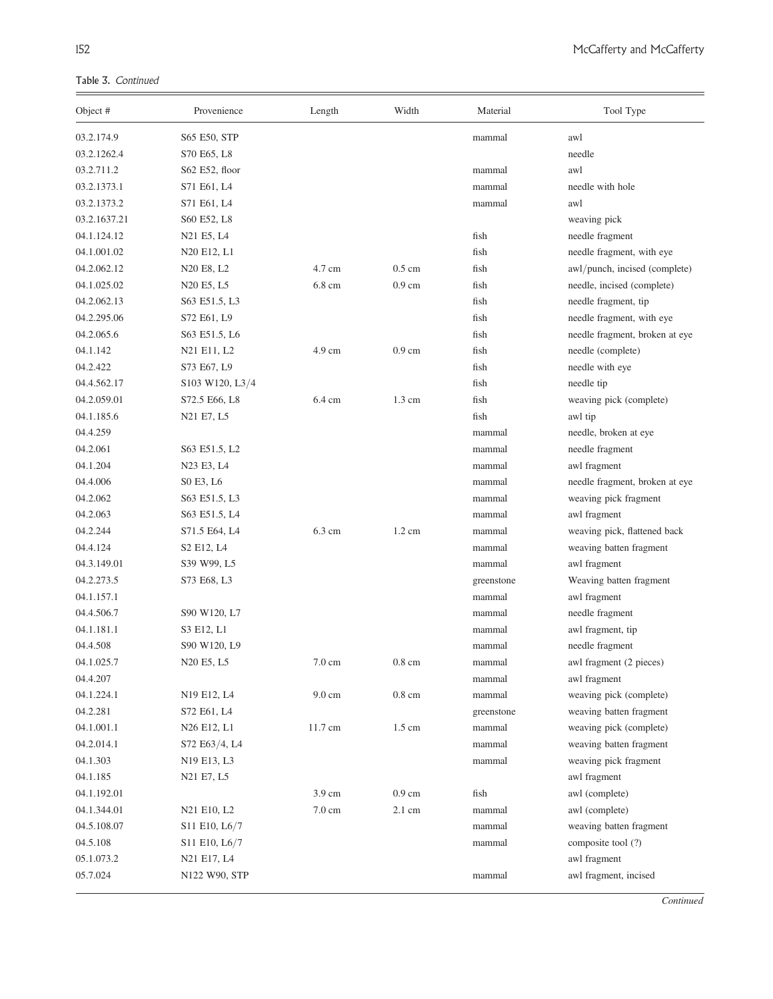Table 3. Continued

| Object #     | Provenience                                     | Length           | Width            | Material   | Tool Type                        |
|--------------|-------------------------------------------------|------------------|------------------|------------|----------------------------------|
| 03.2.174.9   | S65 E50, STP                                    |                  |                  | mammal     | awl                              |
| 03.2.1262.4  | S70 E65, L8                                     |                  |                  |            | needle                           |
| 03.2.711.2   | S62 E52, floor                                  |                  |                  | mammal     | awl                              |
| 03.2.1373.1  | S71 E61, L4                                     |                  |                  | mammal     | needle with hole                 |
| 03.2.1373.2  | S71 E61, L4                                     |                  |                  | mammal     | awl                              |
| 03.2.1637.21 | S60 E52, L8                                     |                  |                  |            | weaving pick                     |
| 04.1.124.12  | N21 E5, L4                                      |                  |                  | fish       | needle fragment                  |
| 04.1.001.02  | N20 E12, L1                                     |                  |                  | fish       | needle fragment, with eye        |
| 04.2.062.12  | N20 E8, L2                                      | 4.7 cm           | $0.5 \text{ cm}$ | fish       | awl/punch, incised (complete)    |
| 04.1.025.02  | N <sub>20</sub> E <sub>5</sub> , L <sub>5</sub> | 6.8 cm           | $0.9 \text{ cm}$ | fish       | needle, incised (complete)       |
| 04.2.062.13  | S63 E51.5, L3                                   |                  |                  | fish       | needle fragment, tip             |
| 04.2.295.06  | S72 E61, L9                                     |                  |                  | fish       | needle fragment, with eye        |
| 04.2.065.6   | S63 E51.5, L6                                   |                  |                  | fish       | needle fragment, broken at eye   |
| 04.1.142     | N21 E11, L2                                     | $4.9 \text{ cm}$ | $0.9 \text{ cm}$ | fish       | needle (complete)                |
| 04.2.422     | S73 E67, L9                                     |                  |                  | fish       | needle with eye                  |
| 04.4.562.17  | S103 W120, L3/4                                 |                  |                  | fish       | needle tip                       |
| 04.2.059.01  | S72.5 E66, L8                                   | $6.4 \text{ cm}$ | $1.3 \text{ cm}$ | fish       | weaving pick (complete)          |
| 04.1.185.6   | N21 E7, L5                                      |                  |                  | fish       | awl tip                          |
| 04.4.259     |                                                 |                  |                  | mammal     | needle, broken at eye            |
| 04.2.061     | S63 E51.5, L2                                   |                  |                  | mammal     | needle fragment                  |
| 04.1.204     | N23 E3, L4                                      |                  |                  | mammal     | awl fragment                     |
| 04.4.006     | SO E3, L6                                       |                  |                  | mammal     | needle fragment, broken at eye   |
| 04.2.062     | S63 E51.5, L3                                   |                  |                  | mammal     | weaving pick fragment            |
| 04.2.063     | S63 E51.5, L4                                   |                  |                  | mammal     | awl fragment                     |
| 04.2.244     | S71.5 E64, L4                                   | $6.3 \text{ cm}$ | $1.2 \text{ cm}$ | mammal     | weaving pick, flattened back     |
| 04.4.124     | S <sub>2</sub> E <sub>12</sub> , L <sub>4</sub> |                  |                  | mammal     | weaving batten fragment          |
| 04.3.149.01  | S39 W99, L5                                     |                  |                  | mammal     | awl fragment                     |
| 04.2.273.5   | S73 E68, L3                                     |                  |                  | greenstone | Weaving batten fragment          |
| 04.1.157.1   |                                                 |                  |                  | mammal     | awl fragment                     |
| 04.4.506.7   | S90 W120, L7                                    |                  |                  | mammal     | needle fragment                  |
| 04.1.181.1   | S3 E12, L1                                      |                  |                  | mammal     | awl fragment, tip                |
| 04.4.508     | S90 W120, L9                                    |                  |                  | mammal     | needle fragment                  |
| 04.1.025.7   | N20 E5, L5                                      | 7.0 cm           | $0.8 \text{ cm}$ | mammal     | awl fragment (2 pieces)          |
| 04.4.207     |                                                 |                  |                  | mammal     | awl fragment                     |
| 04.1.224.1   | N19 E12, L4                                     | 9.0 cm           | $0.8 \text{ cm}$ | mammal     | weaving pick (complete)          |
| 04.2.281     | S72 E61, L4                                     |                  |                  | greenstone | weaving batten fragment          |
| 04.1.001.1   | N26 E12, L1                                     | 11.7 cm          | 1.5 cm           | mammal     | weaving pick (complete)          |
| 04.2.014.1   | S72 E63/4, L4                                   |                  |                  | mammal     | weaving batten fragment          |
| 04.1.303     | N19 E13, L3                                     |                  |                  | mammal     | weaving pick fragment            |
| 04.1.185     | N21 E7, L5                                      |                  |                  |            | awl fragment                     |
| 04.1.192.01  |                                                 | 3.9 cm           | $0.9 \text{ cm}$ | fish       |                                  |
| 04.1.344.01  | N21 E10, L2                                     | 7.0 cm           | $2.1 \text{ cm}$ | mammal     | awl (complete)<br>awl (complete) |
| 04.5.108.07  |                                                 |                  |                  |            |                                  |
|              | S11 E10, L6/7                                   |                  |                  | mammal     | weaving batten fragment          |
| 04.5.108     | S11 E10, L6/7                                   |                  |                  | mammal     | composite tool (?)               |
| 05.1.073.2   | N21 E17, L4                                     |                  |                  |            | awl fragment                     |
| 05.7.024     | N122 W90, STP                                   |                  |                  | mammal     | awl fragment, incised            |

**Continued**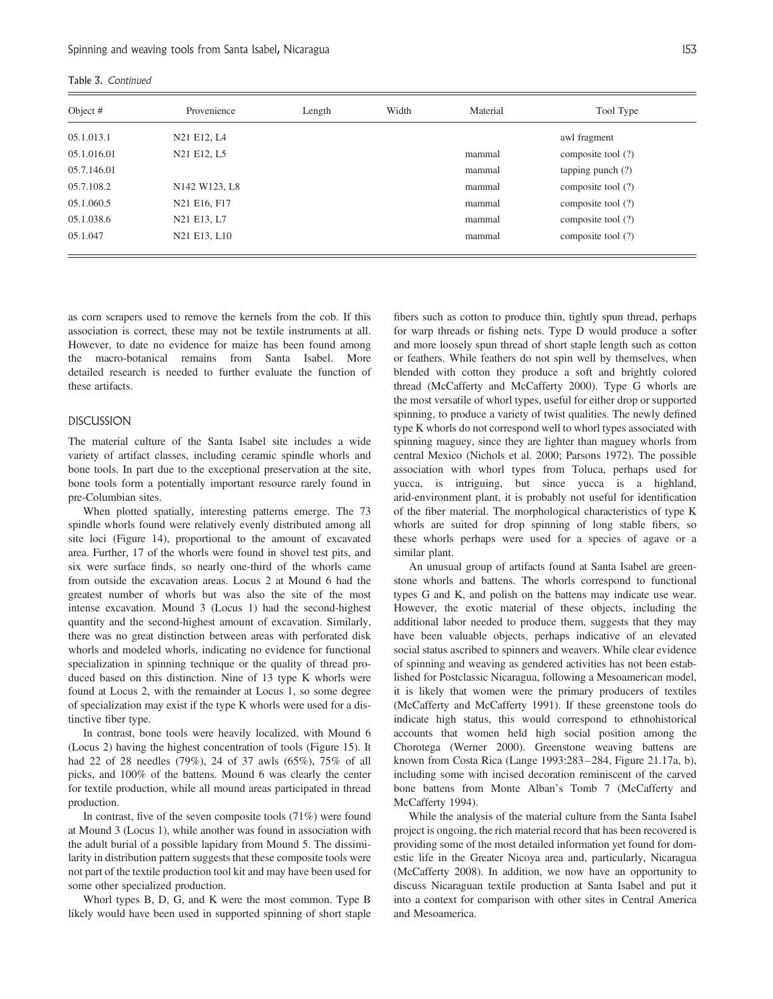|  |  |  | Table 3. Continued |
|--|--|--|--------------------|
|--|--|--|--------------------|

| Object #    | Provenience                                        | Length | Width | Material | Tool Type           |
|-------------|----------------------------------------------------|--------|-------|----------|---------------------|
| 05.1.013.1  | N21 E12, L4                                        |        |       |          | awl fragment        |
| 05.1.016.01 | N21 E12, L5                                        |        |       | mammal   | composite tool (?)  |
| 05.7.146.01 |                                                    |        |       | mammal   | tapping punch $(?)$ |
| 05.7.108.2  | N <sub>142</sub> W <sub>123</sub> , L <sub>8</sub> |        |       | mammal   | composite tool (?)  |
| 05.1.060.5  | N21 E16, F17                                       |        |       | mammal   | composite tool (?)  |
| 05.1.038.6  | N21 E13, L7                                        |        |       | mammal   | composite tool (?)  |
| 05.1.047    | N21 E13, L10                                       |        |       | mammal   | composite tool (?)  |

as corn scrapers used to remove the kernels from the cob. If this association is correct, these may not be textile instruments at all. However, to date no evidence for maize has been found among the macro-botanical remains from Santa Isabel. More detailed research is needed to further evaluate the function of these artifacts.

### DISCUSSION

The material culture of the Santa Isabel site includes a wide variety of artifact classes, including ceramic spindle whorls and bone tools. In part due to the exceptional preservation at the site, bone tools form a potentially important resource rarely found in pre-Columbian sites.

When plotted spatially, interesting patterns emerge. The 73 spindle whorls found were relatively evenly distributed among all site loci (Figure 14), proportional to the amount of excavated area. Further, 17 of the whorls were found in shovel test pits, and six were surface finds, so nearly one-third of the whorls came from outside the excavation areas. Locus 2 at Mound 6 had the greatest number of whorls but was also the site of the most intense excavation. Mound 3 (Locus 1) had the second-highest quantity and the second-highest amount of excavation. Similarly, there was no great distinction between areas with perforated disk whorls and modeled whorls, indicating no evidence for functional specialization in spinning technique or the quality of thread produced based on this distinction. Nine of 13 type K whorls were found at Locus 2, with the remainder at Locus 1, so some degree of specialization may exist if the type K whorls were used for a distinctive fiber type.

In contrast, bone tools were heavily localized, with Mound 6 (Locus 2) having the highest concentration of tools (Figure 15). It had 22 of 28 needles (79%), 24 of 37 awls (65%), 75% of all picks, and 100% of the battens. Mound 6 was clearly the center for textile production, while all mound areas participated in thread production.

In contrast, five of the seven composite tools (71%) were found at Mound 3 (Locus 1), while another was found in association with the adult burial of a possible lapidary from Mound 5. The dissimilarity in distribution pattern suggests that these composite tools were not part of the textile production tool kit and may have been used for some other specialized production.

Whorl types B, D, G, and K were the most common. Type B likely would have been used in supported spinning of short staple

fibers such as cotton to produce thin, tightly spun thread, perhaps for warp threads or fishing nets. Type D would produce a softer and more loosely spun thread of short staple length such as cotton or feathers. While feathers do not spin well by themselves, when blended with cotton they produce a soft and brightly colored thread (McCafferty and McCafferty 2000). Type G whorls are the most versatile of whorl types, useful for either drop or supported spinning, to produce a variety of twist qualities. The newly defined type K whorls do not correspond well to whorl types associated with spinning maguey, since they are lighter than maguey whorls from central Mexico (Nichols et al. 2000; Parsons 1972). The possible association with whorl types from Toluca, perhaps used for yucca, is intriguing, but since yucca is a highland, arid-environment plant, it is probably not useful for identification of the fiber material. The morphological characteristics of type K whorls are suited for drop spinning of long stable fibers, so these whorls perhaps were used for a species of agave or a similar plant.

An unusual group of artifacts found at Santa Isabel are greenstone whorls and battens. The whorls correspond to functional types G and K, and polish on the battens may indicate use wear. However, the exotic material of these objects, including the additional labor needed to produce them, suggests that they may have been valuable objects, perhaps indicative of an elevated social status ascribed to spinners and weavers. While clear evidence of spinning and weaving as gendered activities has not been established for Postclassic Nicaragua, following a Mesoamerican model, it is likely that women were the primary producers of textiles (McCafferty and McCafferty 1991). If these greenstone tools do indicate high status, this would correspond to ethnohistorical accounts that women held high social position among the Chorotega (Werner 2000). Greenstone weaving battens are known from Costa Rica (Lange 1993:283– 284, Figure 21.17a, b), including some with incised decoration reminiscent of the carved bone battens from Monte Alban's Tomb 7 (McCafferty and McCafferty 1994).

While the analysis of the material culture from the Santa Isabel project is ongoing, the rich material record that has been recovered is providing some of the most detailed information yet found for domestic life in the Greater Nicoya area and, particularly, Nicaragua (McCafferty 2008). In addition, we now have an opportunity to discuss Nicaraguan textile production at Santa Isabel and put it into a context for comparison with other sites in Central America and Mesoamerica.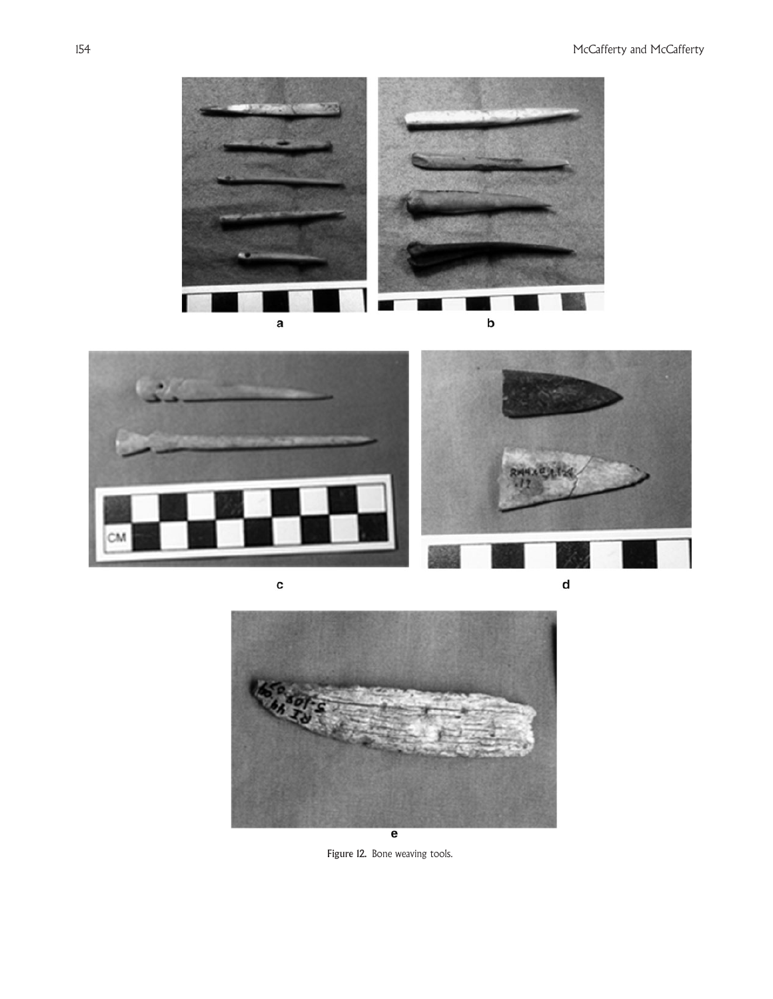



c



Figure 12. Bone weaving tools.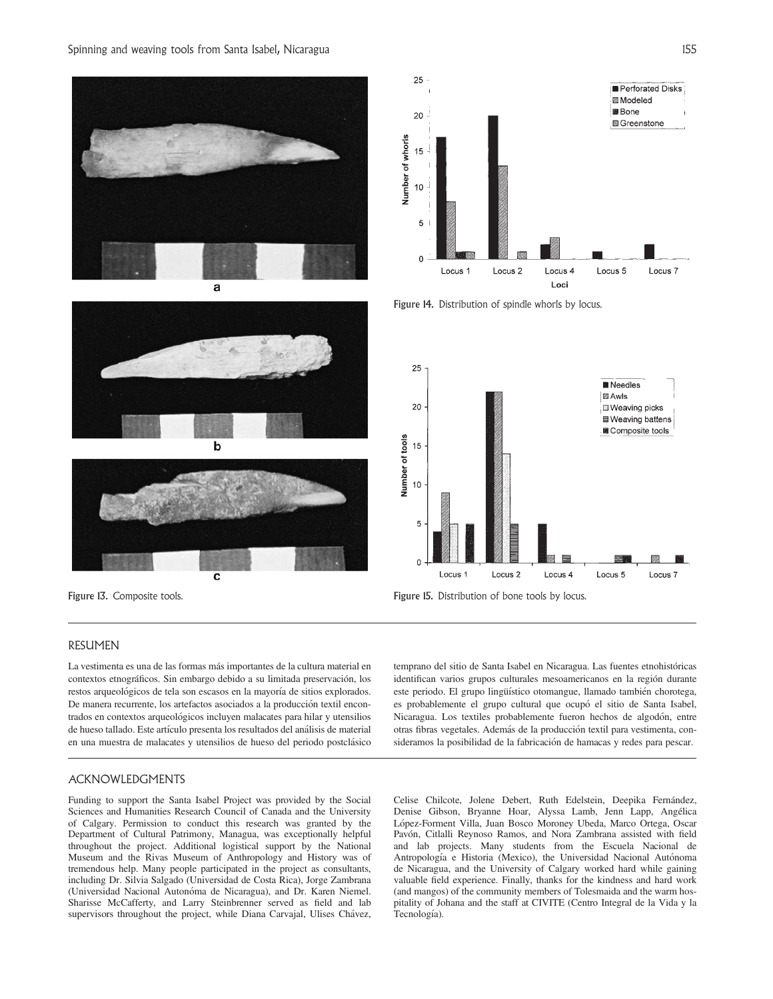





## 25 Perforated Disks **图 Modeled** 圖 Rone 20 **S**Greenstone Number of whorls 15  $10$ 5  $\pmb{0}$ Locus<sub>5</sub> Locus<sub>1</sub> Locus<sub>2</sub> Locus<sub>4</sub> Locus<sub>7</sub> Loci

Figure 14. Distribution of spindle whorls by locus.





## RESUMEN

La vestimenta es una de las formas más importantes de la cultura material en contextos etnográficos. Sin embargo debido a su limitada preservación, los restos arqueológicos de tela son escasos en la mayoría de sitios explorados. De manera recurrente, los artefactos asociados a la producción textil encontrados en contextos arqueológicos incluyen malacates para hilar y utensilios de hueso tallado. Este artículo presenta los resultados del análisis de material en una muestra de malacates y utensilios de hueso del periodo postclásico

temprano del sitio de Santa Isabel en Nicaragua. Las fuentes etnohistóricas identifican varios grupos culturales mesoamericanos en la región durante este periodo. El grupo lingüístico otomangue, llamado también chorotega, es probablemente el grupo cultural que ocupó el sitio de Santa Isabel, Nicaragua. Los textiles probablemente fueron hechos de algodón, entre otras fibras vegetales. Además de la producción textil para vestimenta, consideramos la posibilidad de la fabricación de hamacas y redes para pescar.

### ACKNOWLEDGMENTS

Funding to support the Santa Isabel Project was provided by the Social Sciences and Humanities Research Council of Canada and the University of Calgary. Permission to conduct this research was granted by the Department of Cultural Patrimony, Managua, was exceptionally helpful throughout the project. Additional logistical support by the National Museum and the Rivas Museum of Anthropology and History was of tremendous help. Many people participated in the project as consultants, including Dr. Silvia Salgado (Universidad de Costa Rica), Jorge Zambrana (Universidad Nacional Autonóma de Nicaragua), and Dr. Karen Niemel. Sharisse McCafferty, and Larry Steinbrenner served as field and lab supervisors throughout the project, while Diana Carvajal, Ulises Chávez,

Celise Chilcote, Jolene Debert, Ruth Edelstein, Deepika Fernández, Denise Gibson, Bryanne Hoar, Alyssa Lamb, Jenn Lapp, Angélica López-Forment Villa, Juan Bosco Moroney Ubeda, Marco Ortega, Oscar Pavón, Citlalli Reynoso Ramos, and Nora Zambrana assisted with field and lab projects. Many students from the Escuela Nacional de Antropología e Historia (Mexico), the Universidad Nacional Autónoma de Nicaragua, and the University of Calgary worked hard while gaining valuable field experience. Finally, thanks for the kindness and hard work (and mangos) of the community members of Tolesmaida and the warm hospitality of Johana and the staff at CIVITE (Centro Integral de la Vida y la Tecnología).